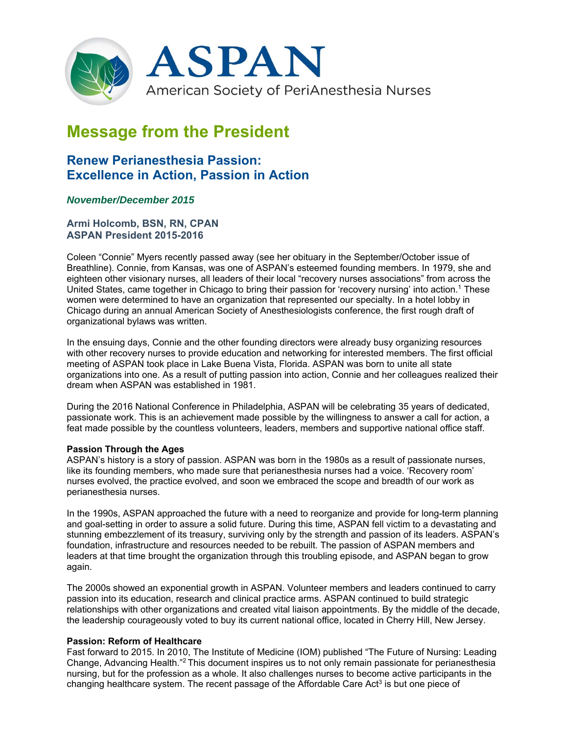

# **Message from the President**

# **Renew Perianesthesia Passion: Excellence in Action, Passion in Action**

# *November/December 2015*

**Armi Holcomb, BSN, RN, CPAN ASPAN President 2015-2016** 

Coleen "Connie" Myers recently passed away (see her obituary in the September/October issue of Breathline). Connie, from Kansas, was one of ASPAN's esteemed founding members. In 1979, she and eighteen other visionary nurses, all leaders of their local "recovery nurses associations" from across the United States, came together in Chicago to bring their passion for 'recovery nursing' into action.<sup>1</sup> These women were determined to have an organization that represented our specialty. In a hotel lobby in Chicago during an annual American Society of Anesthesiologists conference, the first rough draft of organizational bylaws was written.

In the ensuing days, Connie and the other founding directors were already busy organizing resources with other recovery nurses to provide education and networking for interested members. The first official meeting of ASPAN took place in Lake Buena Vista, Florida. ASPAN was born to unite all state organizations into one. As a result of putting passion into action, Connie and her colleagues realized their dream when ASPAN was established in 1981.

During the 2016 National Conference in Philadelphia, ASPAN will be celebrating 35 years of dedicated, passionate work. This is an achievement made possible by the willingness to answer a call for action, a feat made possible by the countless volunteers, leaders, members and supportive national office staff.

## **Passion Through the Ages**

ASPAN's history is a story of passion. ASPAN was born in the 1980s as a result of passionate nurses, like its founding members, who made sure that perianesthesia nurses had a voice. 'Recovery room' nurses evolved, the practice evolved, and soon we embraced the scope and breadth of our work as perianesthesia nurses.

In the 1990s, ASPAN approached the future with a need to reorganize and provide for long-term planning and goal-setting in order to assure a solid future. During this time, ASPAN fell victim to a devastating and stunning embezzlement of its treasury, surviving only by the strength and passion of its leaders. ASPAN's foundation, infrastructure and resources needed to be rebuilt. The passion of ASPAN members and leaders at that time brought the organization through this troubling episode, and ASPAN began to grow again.

The 2000s showed an exponential growth in ASPAN. Volunteer members and leaders continued to carry passion into its education, research and clinical practice arms. ASPAN continued to build strategic relationships with other organizations and created vital liaison appointments. By the middle of the decade, the leadership courageously voted to buy its current national office, located in Cherry Hill, New Jersey.

## **Passion: Reform of Healthcare**

Fast forward to 2015. In 2010, The Institute of Medicine (IOM) published "The Future of Nursing: Leading Change, Advancing Health."2 This document inspires us to not only remain passionate for perianesthesia nursing, but for the profession as a whole. It also challenges nurses to become active participants in the changing healthcare system. The recent passage of the Affordable Care  $Act<sup>3</sup>$  is but one piece of